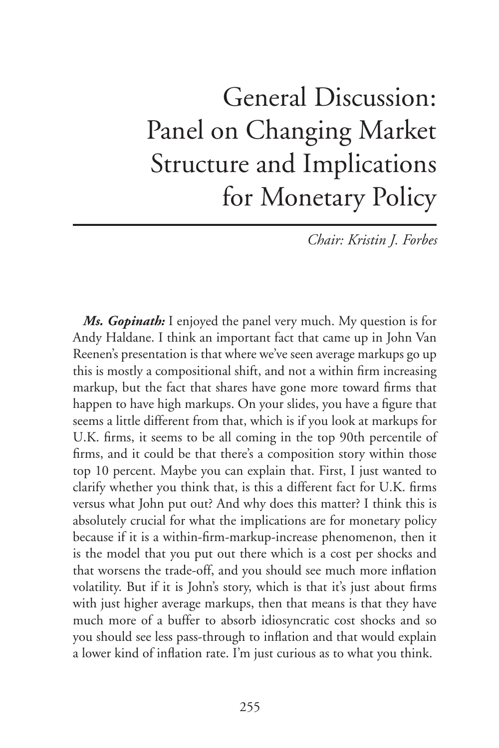## General Discussion: Panel on Changing Market Structure and Implications for Monetary Policy

*Chair: Kristin J. Forbes*

*Ms. Gopinath:* I enjoyed the panel very much. My question is for Andy Haldane. I think an important fact that came up in John Van Reenen's presentation is that where we've seen average markups go up this is mostly a compositional shift, and not a within firm increasing markup, but the fact that shares have gone more toward firms that happen to have high markups. On your slides, you have a figure that seems a little different from that, which is if you look at markups for U.K. firms, it seems to be all coming in the top 90th percentile of firms, and it could be that there's a composition story within those top 10 percent. Maybe you can explain that. First, I just wanted to clarify whether you think that, is this a different fact for U.K. firms versus what John put out? And why does this matter? I think this is absolutely crucial for what the implications are for monetary policy because if it is a within-firm-markup-increase phenomenon, then it is the model that you put out there which is a cost per shocks and that worsens the trade-off, and you should see much more inflation volatility. But if it is John's story, which is that it's just about firms with just higher average markups, then that means is that they have much more of a buffer to absorb idiosyncratic cost shocks and so you should see less pass-through to inflation and that would explain a lower kind of inflation rate. I'm just curious as to what you think.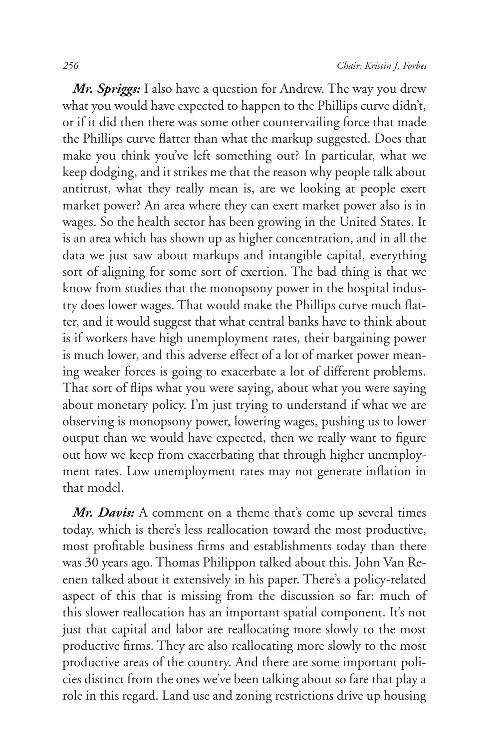*Mr. Spriggs:* I also have a question for Andrew. The way you drew what you would have expected to happen to the Phillips curve didn't, or if it did then there was some other countervailing force that made the Phillips curve flatter than what the markup suggested. Does that make you think you've left something out? In particular, what we keep dodging, and it strikes me that the reason why people talk about antitrust, what they really mean is, are we looking at people exert market power? An area where they can exert market power also is in wages. So the health sector has been growing in the United States. It is an area which has shown up as higher concentration, and in all the data we just saw about markups and intangible capital, everything sort of aligning for some sort of exertion. The bad thing is that we know from studies that the monopsony power in the hospital industry does lower wages. That would make the Phillips curve much flatter, and it would suggest that what central banks have to think about is if workers have high unemployment rates, their bargaining power is much lower, and this adverse effect of a lot of market power meaning weaker forces is going to exacerbate a lot of different problems. That sort of flips what you were saying, about what you were saying about monetary policy. I'm just trying to understand if what we are observing is monopsony power, lowering wages, pushing us to lower output than we would have expected, then we really want to figure out how we keep from exacerbating that through higher unemployment rates. Low unemployment rates may not generate inflation in that model.

*Mr. Davis:* A comment on a theme that's come up several times today, which is there's less reallocation toward the most productive, most profitable business firms and establishments today than there was 30 years ago. Thomas Philippon talked about this. John Van Reenen talked about it extensively in his paper. There's a policy-related aspect of this that is missing from the discussion so far: much of this slower reallocation has an important spatial component. It's not just that capital and labor are reallocating more slowly to the most productive firms. They are also reallocating more slowly to the most productive areas of the country. And there are some important policies distinct from the ones we've been talking about so fare that play a role in this regard. Land use and zoning restrictions drive up housing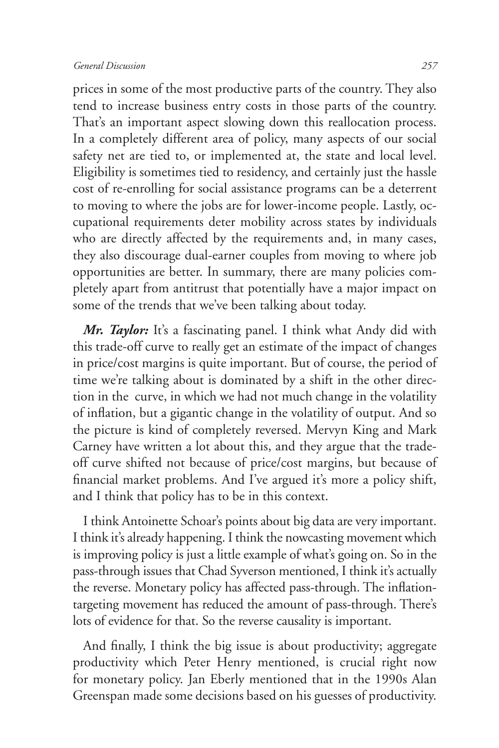prices in some of the most productive parts of the country. They also tend to increase business entry costs in those parts of the country. That's an important aspect slowing down this reallocation process. In a completely different area of policy, many aspects of our social safety net are tied to, or implemented at, the state and local level. Eligibility is sometimes tied to residency, and certainly just the hassle cost of re-enrolling for social assistance programs can be a deterrent to moving to where the jobs are for lower-income people. Lastly, occupational requirements deter mobility across states by individuals who are directly affected by the requirements and, in many cases, they also discourage dual-earner couples from moving to where job opportunities are better. In summary, there are many policies completely apart from antitrust that potentially have a major impact on some of the trends that we've been talking about today.

*Mr. Taylor:* It's a fascinating panel. I think what Andy did with this trade-off curve to really get an estimate of the impact of changes in price/cost margins is quite important. But of course, the period of time we're talking about is dominated by a shift in the other direction in the curve, in which we had not much change in the volatility of inflation, but a gigantic change in the volatility of output. And so the picture is kind of completely reversed. Mervyn King and Mark Carney have written a lot about this, and they argue that the tradeoff curve shifted not because of price/cost margins, but because of financial market problems. And I've argued it's more a policy shift, and I think that policy has to be in this context.

I think Antoinette Schoar's points about big data are very important. I think it's already happening. I think the nowcasting movement which is improving policy is just a little example of what's going on. So in the pass-through issues that Chad Syverson mentioned, I think it's actually the reverse. Monetary policy has affected pass-through. The inflationtargeting movement has reduced the amount of pass-through. There's lots of evidence for that. So the reverse causality is important.

And finally, I think the big issue is about productivity; aggregate productivity which Peter Henry mentioned, is crucial right now for monetary policy. Jan Eberly mentioned that in the 1990s Alan Greenspan made some decisions based on his guesses of productivity.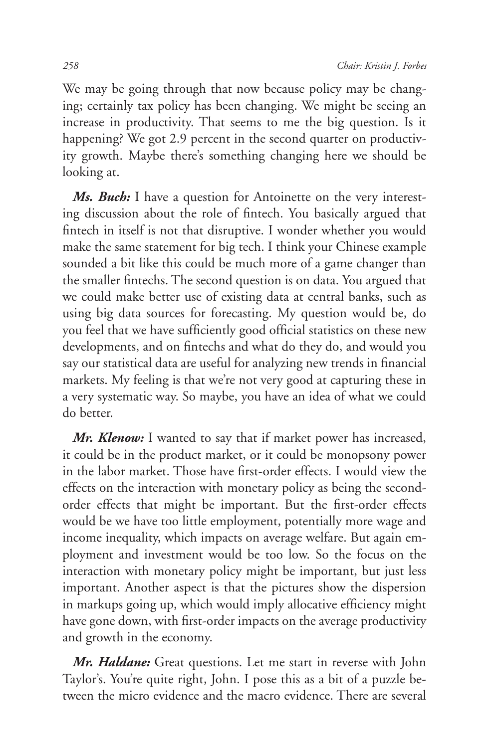We may be going through that now because policy may be changing; certainly tax policy has been changing. We might be seeing an increase in productivity. That seems to me the big question. Is it happening? We got 2.9 percent in the second quarter on productivity growth. Maybe there's something changing here we should be looking at.

*Ms. Buch:* I have a question for Antoinette on the very interesting discussion about the role of fintech. You basically argued that fintech in itself is not that disruptive. I wonder whether you would make the same statement for big tech. I think your Chinese example sounded a bit like this could be much more of a game changer than the smaller fintechs. The second question is on data. You argued that we could make better use of existing data at central banks, such as using big data sources for forecasting. My question would be, do you feel that we have sufficiently good official statistics on these new developments, and on fintechs and what do they do, and would you say our statistical data are useful for analyzing new trends in financial markets. My feeling is that we're not very good at capturing these in a very systematic way. So maybe, you have an idea of what we could do better.

*Mr. Klenow:* I wanted to say that if market power has increased, it could be in the product market, or it could be monopsony power in the labor market. Those have first-order effects. I would view the effects on the interaction with monetary policy as being the secondorder effects that might be important. But the first-order effects would be we have too little employment, potentially more wage and income inequality, which impacts on average welfare. But again employment and investment would be too low. So the focus on the interaction with monetary policy might be important, but just less important. Another aspect is that the pictures show the dispersion in markups going up, which would imply allocative efficiency might have gone down, with first-order impacts on the average productivity and growth in the economy.

*Mr. Haldane:* Great questions. Let me start in reverse with John Taylor's. You're quite right, John. I pose this as a bit of a puzzle between the micro evidence and the macro evidence. There are several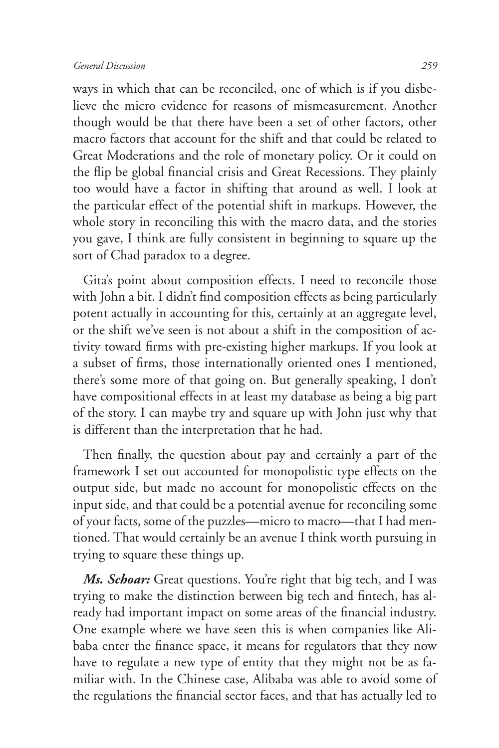ways in which that can be reconciled, one of which is if you disbelieve the micro evidence for reasons of mismeasurement. Another though would be that there have been a set of other factors, other macro factors that account for the shift and that could be related to Great Moderations and the role of monetary policy. Or it could on the flip be global financial crisis and Great Recessions. They plainly too would have a factor in shifting that around as well. I look at the particular effect of the potential shift in markups. However, the whole story in reconciling this with the macro data, and the stories you gave, I think are fully consistent in beginning to square up the sort of Chad paradox to a degree.

Gita's point about composition effects. I need to reconcile those with John a bit. I didn't find composition effects as being particularly potent actually in accounting for this, certainly at an aggregate level, or the shift we've seen is not about a shift in the composition of activity toward firms with pre-existing higher markups. If you look at a subset of firms, those internationally oriented ones I mentioned, there's some more of that going on. But generally speaking, I don't have compositional effects in at least my database as being a big part of the story. I can maybe try and square up with John just why that is different than the interpretation that he had.

Then finally, the question about pay and certainly a part of the framework I set out accounted for monopolistic type effects on the output side, but made no account for monopolistic effects on the input side, and that could be a potential avenue for reconciling some of your facts, some of the puzzles—micro to macro—that I had mentioned. That would certainly be an avenue I think worth pursuing in trying to square these things up.

*Ms. Schoar:* Great questions. You're right that big tech, and I was trying to make the distinction between big tech and fintech, has already had important impact on some areas of the financial industry. One example where we have seen this is when companies like Alibaba enter the finance space, it means for regulators that they now have to regulate a new type of entity that they might not be as familiar with. In the Chinese case, Alibaba was able to avoid some of the regulations the financial sector faces, and that has actually led to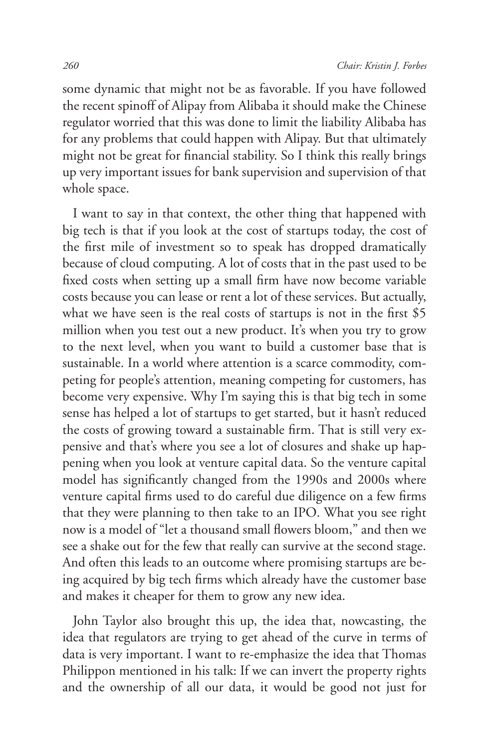some dynamic that might not be as favorable. If you have followed the recent spinoff of Alipay from Alibaba it should make the Chinese regulator worried that this was done to limit the liability Alibaba has for any problems that could happen with Alipay. But that ultimately might not be great for financial stability. So I think this really brings up very important issues for bank supervision and supervision of that whole space.

I want to say in that context, the other thing that happened with big tech is that if you look at the cost of startups today, the cost of the first mile of investment so to speak has dropped dramatically because of cloud computing. A lot of costs that in the past used to be fixed costs when setting up a small firm have now become variable costs because you can lease or rent a lot of these services. But actually, what we have seen is the real costs of startups is not in the first \$5 million when you test out a new product. It's when you try to grow to the next level, when you want to build a customer base that is sustainable. In a world where attention is a scarce commodity, competing for people's attention, meaning competing for customers, has become very expensive. Why I'm saying this is that big tech in some sense has helped a lot of startups to get started, but it hasn't reduced the costs of growing toward a sustainable firm. That is still very expensive and that's where you see a lot of closures and shake up happening when you look at venture capital data. So the venture capital model has significantly changed from the 1990s and 2000s where venture capital firms used to do careful due diligence on a few firms that they were planning to then take to an IPO. What you see right now is a model of "let a thousand small flowers bloom," and then we see a shake out for the few that really can survive at the second stage. And often this leads to an outcome where promising startups are being acquired by big tech firms which already have the customer base and makes it cheaper for them to grow any new idea.

John Taylor also brought this up, the idea that, nowcasting, the idea that regulators are trying to get ahead of the curve in terms of data is very important. I want to re-emphasize the idea that Thomas Philippon mentioned in his talk: If we can invert the property rights and the ownership of all our data, it would be good not just for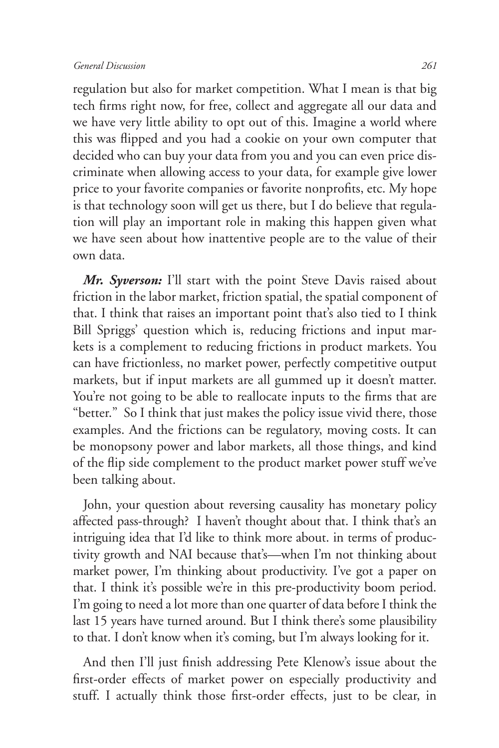regulation but also for market competition. What I mean is that big tech firms right now, for free, collect and aggregate all our data and we have very little ability to opt out of this. Imagine a world where this was flipped and you had a cookie on your own computer that decided who can buy your data from you and you can even price discriminate when allowing access to your data, for example give lower price to your favorite companies or favorite nonprofits, etc. My hope is that technology soon will get us there, but I do believe that regulation will play an important role in making this happen given what we have seen about how inattentive people are to the value of their own data.

*Mr. Syverson:* I'll start with the point Steve Davis raised about friction in the labor market, friction spatial, the spatial component of that. I think that raises an important point that's also tied to I think Bill Spriggs' question which is, reducing frictions and input markets is a complement to reducing frictions in product markets. You can have frictionless, no market power, perfectly competitive output markets, but if input markets are all gummed up it doesn't matter. You're not going to be able to reallocate inputs to the firms that are "better." So I think that just makes the policy issue vivid there, those examples. And the frictions can be regulatory, moving costs. It can be monopsony power and labor markets, all those things, and kind of the flip side complement to the product market power stuff we've been talking about.

John, your question about reversing causality has monetary policy affected pass-through? I haven't thought about that. I think that's an intriguing idea that I'd like to think more about. in terms of productivity growth and NAI because that's—when I'm not thinking about market power, I'm thinking about productivity. I've got a paper on that. I think it's possible we're in this pre-productivity boom period. I'm going to need a lot more than one quarter of data before I think the last 15 years have turned around. But I think there's some plausibility to that. I don't know when it's coming, but I'm always looking for it.

And then I'll just finish addressing Pete Klenow's issue about the first-order effects of market power on especially productivity and stuff. I actually think those first-order effects, just to be clear, in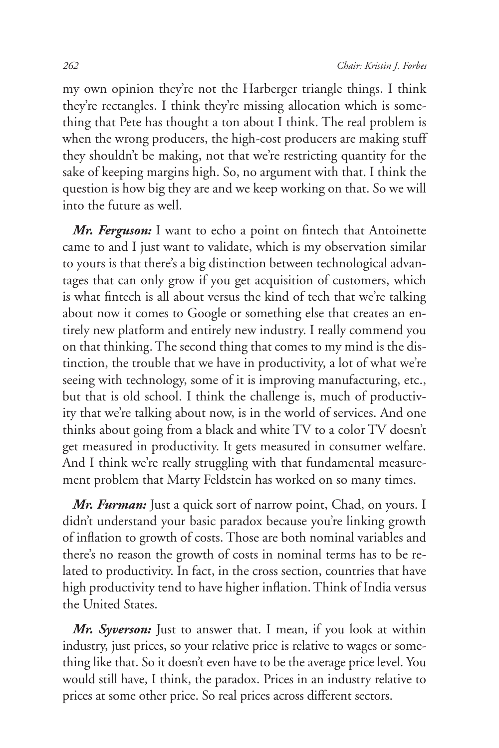my own opinion they're not the Harberger triangle things. I think they're rectangles. I think they're missing allocation which is something that Pete has thought a ton about I think. The real problem is when the wrong producers, the high-cost producers are making stuff they shouldn't be making, not that we're restricting quantity for the sake of keeping margins high. So, no argument with that. I think the question is how big they are and we keep working on that. So we will into the future as well.

*Mr. Ferguson:* I want to echo a point on fintech that Antoinette came to and I just want to validate, which is my observation similar to yours is that there's a big distinction between technological advantages that can only grow if you get acquisition of customers, which is what fintech is all about versus the kind of tech that we're talking about now it comes to Google or something else that creates an entirely new platform and entirely new industry. I really commend you on that thinking. The second thing that comes to my mind is the distinction, the trouble that we have in productivity, a lot of what we're seeing with technology, some of it is improving manufacturing, etc., but that is old school. I think the challenge is, much of productivity that we're talking about now, is in the world of services. And one thinks about going from a black and white TV to a color TV doesn't get measured in productivity. It gets measured in consumer welfare. And I think we're really struggling with that fundamental measurement problem that Marty Feldstein has worked on so many times.

*Mr. Furman:* Just a quick sort of narrow point, Chad, on yours. I didn't understand your basic paradox because you're linking growth of inflation to growth of costs. Those are both nominal variables and there's no reason the growth of costs in nominal terms has to be related to productivity. In fact, in the cross section, countries that have high productivity tend to have higher inflation. Think of India versus the United States.

*Mr. Syverson:* Just to answer that. I mean, if you look at within industry, just prices, so your relative price is relative to wages or something like that. So it doesn't even have to be the average price level. You would still have, I think, the paradox. Prices in an industry relative to prices at some other price. So real prices across different sectors.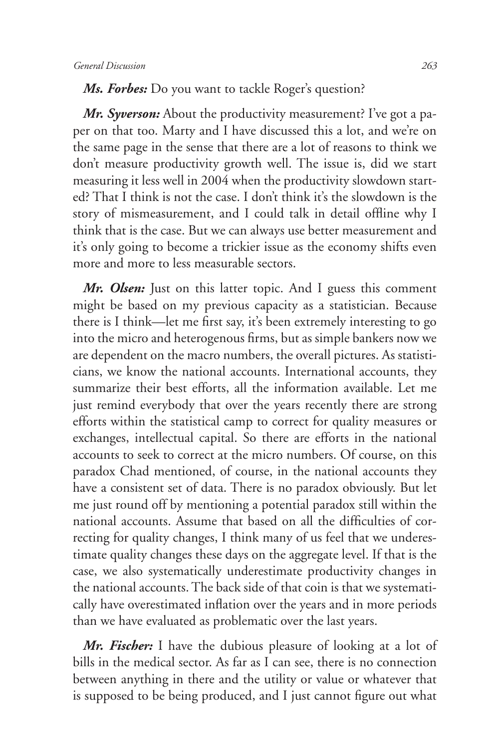## *Ms. Forbes:* Do you want to tackle Roger's question?

*Mr. Syverson:* About the productivity measurement? I've got a paper on that too. Marty and I have discussed this a lot, and we're on the same page in the sense that there are a lot of reasons to think we don't measure productivity growth well. The issue is, did we start measuring it less well in 2004 when the productivity slowdown started? That I think is not the case. I don't think it's the slowdown is the story of mismeasurement, and I could talk in detail offline why I think that is the case. But we can always use better measurement and it's only going to become a trickier issue as the economy shifts even more and more to less measurable sectors.

*Mr. Olsen:* Just on this latter topic. And I guess this comment might be based on my previous capacity as a statistician. Because there is I think—let me first say, it's been extremely interesting to go into the micro and heterogenous firms, but as simple bankers now we are dependent on the macro numbers, the overall pictures. As statisticians, we know the national accounts. International accounts, they summarize their best efforts, all the information available. Let me just remind everybody that over the years recently there are strong efforts within the statistical camp to correct for quality measures or exchanges, intellectual capital. So there are efforts in the national accounts to seek to correct at the micro numbers. Of course, on this paradox Chad mentioned, of course, in the national accounts they have a consistent set of data. There is no paradox obviously. But let me just round off by mentioning a potential paradox still within the national accounts. Assume that based on all the difficulties of correcting for quality changes, I think many of us feel that we underestimate quality changes these days on the aggregate level. If that is the case, we also systematically underestimate productivity changes in the national accounts. The back side of that coin is that we systematically have overestimated inflation over the years and in more periods than we have evaluated as problematic over the last years.

*Mr. Fischer:* I have the dubious pleasure of looking at a lot of bills in the medical sector. As far as I can see, there is no connection between anything in there and the utility or value or whatever that is supposed to be being produced, and I just cannot figure out what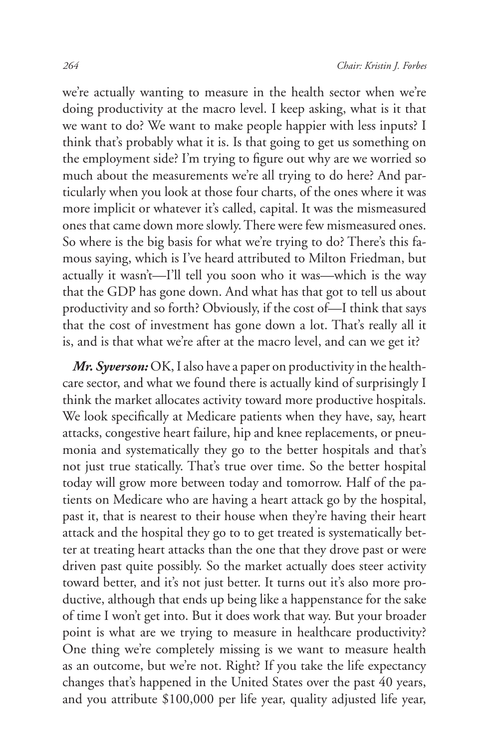we're actually wanting to measure in the health sector when we're doing productivity at the macro level. I keep asking, what is it that we want to do? We want to make people happier with less inputs? I think that's probably what it is. Is that going to get us something on the employment side? I'm trying to figure out why are we worried so much about the measurements we're all trying to do here? And particularly when you look at those four charts, of the ones where it was more implicit or whatever it's called, capital. It was the mismeasured ones that came down more slowly. There were few mismeasured ones. So where is the big basis for what we're trying to do? There's this famous saying, which is I've heard attributed to Milton Friedman, but actually it wasn't—I'll tell you soon who it was—which is the way that the GDP has gone down. And what has that got to tell us about productivity and so forth? Obviously, if the cost of—I think that says that the cost of investment has gone down a lot. That's really all it is, and is that what we're after at the macro level, and can we get it?

*Mr. Syverson:* OK, I also have a paper on productivity in the healthcare sector, and what we found there is actually kind of surprisingly I think the market allocates activity toward more productive hospitals. We look specifically at Medicare patients when they have, say, heart attacks, congestive heart failure, hip and knee replacements, or pneumonia and systematically they go to the better hospitals and that's not just true statically. That's true over time. So the better hospital today will grow more between today and tomorrow. Half of the patients on Medicare who are having a heart attack go by the hospital, past it, that is nearest to their house when they're having their heart attack and the hospital they go to to get treated is systematically better at treating heart attacks than the one that they drove past or were driven past quite possibly. So the market actually does steer activity toward better, and it's not just better. It turns out it's also more productive, although that ends up being like a happenstance for the sake of time I won't get into. But it does work that way. But your broader point is what are we trying to measure in healthcare productivity? One thing we're completely missing is we want to measure health as an outcome, but we're not. Right? If you take the life expectancy changes that's happened in the United States over the past 40 years, and you attribute \$100,000 per life year, quality adjusted life year,